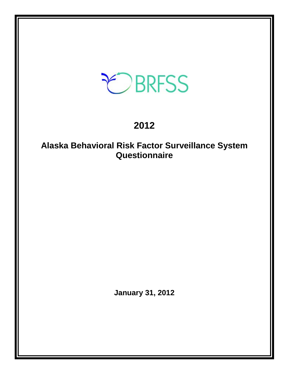# EBRFSS

# **2012**

# **Alaska Behavioral Risk Factor Surveillance System Questionnaire**

**January 31, 2012**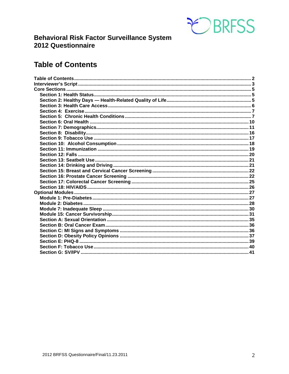

# **Behavioral Risk Factor Surveillance System** 2012 Questionnaire

# <span id="page-1-0"></span>**Table of Contents**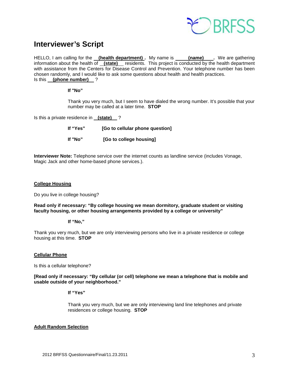

# <span id="page-2-0"></span>**Interviewer's Script**

HELLO, I am calling for the **(health department)**. My name is **(name)** Ne are gathering information about the health of **(state)** residents. This project is conducted by the health department with assistance from the Centers for Disease Control and Prevention. Your telephone number has been chosen randomly, and I would like to ask some questions about health and health practices. Is this **(phone number)** ?

#### **If "No"**

Thank you very much, but I seem to have dialed the wrong number. It's possible that your number may be called at a later time. **STOP**

Is this a private residence in **(state)** ?

| lf "Yes" | [Go to cellular phone question] |
|----------|---------------------------------|
| If "No"  | [Go to college housing]         |

**Interviewer Note:** Telephone service over the internet counts as landline service (includes Vonage, Magic Jack and other home-based phone services.).

#### **College Housing**

Do you live in college housing?

**Read only if necessary: "By college housing we mean dormitory, graduate student or visiting faculty housing, or other housing arrangements provided by a college or university"**

#### **If "No,"**

Thank you very much, but we are only interviewing persons who live in a private residence or college housing at this time. **STOP**

#### **Cellular Phone**

Is this a cellular telephone?

**[Read only if necessary: "By cellular (or cell) telephone we mean a telephone that is mobile and usable outside of your neighborhood."** 

#### **If "Yes"**

Thank you very much, but we are only interviewing land line telephones and private residences or college housing. **STOP**

#### **Adult Random Selection**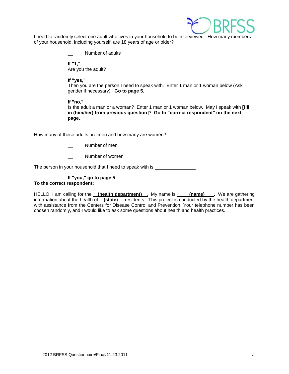

I need to randomly select one adult who lives in your household to be interviewed. How many members of your household, including yourself, are 18 years of age or older?

Number of adults

**If "1,"**  Are you the adult?

#### **If "yes,"**

Then you are the person I need to speak with. Enter 1 man or 1 woman below (Ask gender if necessary). **Go to page 5.**

#### **If "no,"**

Is the adult a man or a woman? Enter 1 man or 1 woman below. May I speak with **[fill in (him/her) from previous question]**? **Go to "correct respondent" on the next page.**

How many of these adults are men and how many are women?

- Number of men
- Number of women

The person in your household that I need to speak with is \_\_\_\_\_\_\_\_\_\_\_\_\_\_\_.

#### **If "you," go to page 5 To the correct respondent:**

HELLO, I am calling for the <u>(health department).</u> My name is \_\_\_\_\_(name)\_\_\_\_. We are gathering information about the health of **(state)** residents. This project is conducted by the health department with assistance from the Centers for Disease Control and Prevention. Your telephone number has been chosen randomly, and I would like to ask some questions about health and health practices.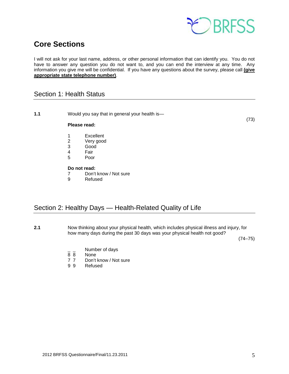

# <span id="page-4-0"></span>**Core Sections**

I will not ask for your last name, address, or other personal information that can identify you. You do not have to answer any question you do not want to, and you can end the interview at any time. Any information you give me will be confidential. If you have any questions about the survey, please call **(give appropriate state telephone number)**.

### <span id="page-4-1"></span>Section 1: Health Status

**1.1** Would you say that in general your health is—

(73)

#### **Please read:**

- 1 Excellent<br>2 Very good
- 2 Very good<br>3 Good
- Good
- 4 Fair<br>5 Poor
- Poor

# **Do not read:**<br> **7** Don't

- 7 Don't know / Not sure<br>9 Refused
- **Refused**

### <span id="page-4-2"></span>Section 2: Healthy Days — Health-Related Quality of Life

**2.1** Now thinking about your physical health, which includes physical illness and injury, for how many days during the past 30 days was your physical health not good?

(74–75)

- $\frac{1}{8}$   $\frac{1}{8}$  Number of days
- None
- 7 7 Don't know / Not sure
- 9 9 Refused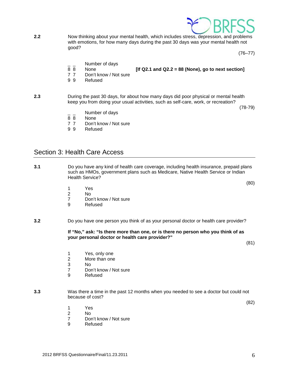**Refused** 

1 Yes

**2.2** Now thinking about your mental health, which includes stress, depression, and problems with emotions, for how many days during the past 30 days was your mental health not good?

 $(76-77)$ 

- $\frac{1}{8}$   $\frac{1}{8}$  Number of days
- 8 8 None **[If Q2.1 and Q2.2 = 88 (None), go to next section]**
- 7 7 Don't know / Not sure
- 9 9 Refused
- **2.3** During the past 30 days, for about how many days did poor physical or mental health keep you from doing your usual activities, such as self-care, work, or recreation?

 $(78-79)$ 

- $\frac{1}{8}$   $\frac{1}{8}$  Number of days
- None
- 7 7 Don't know / Not sure
- 9 9 Refused

### <span id="page-5-0"></span>Section 3: Health Care Access

- **3.1** Do you have any kind of health care coverage, including health insurance, prepaid plans such as HMOs, government plans such as Medicare, Native Health Service or Indian Health Service?
	- 1 Yes
	- 2 No
	- Don't know / Not sure
	- 9 Refused
- **3.2** Do you have one person you think of as your personal doctor or health care provider?

**3.3** Was there a time in the past 12 months when you needed to see a doctor but could not

**If "No," ask: "Is there more than one, or is there no person who you think of as your personal doctor or health care provider?"**

(80)

(81)

- 1 Yes, only one<br>2 More than one
- 2 More than one<br>3 No
- $No$
- 7 Don't know / Not sure
- 9 Refused

because of cost?

 $(82)$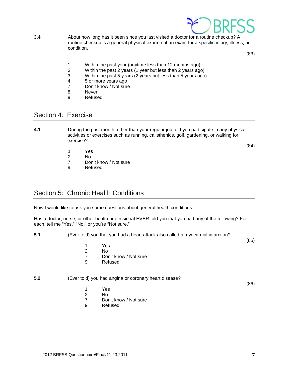

**3.4** About how long has it been since you last visited a doctor for a routine checkup? A routine checkup is a general physical exam, not an exam for a specific injury, illness, or condition.

(83)

- 1 Within the past year (anytime less than 12 months ago)<br>2 Within the past 2 years (1 year but less than 2 years ago
- 2 Within the past 2 years (1 year but less than 2 years ago)<br>3 Within the past 5 years (2 years but less than 5 years ago
- Within the past 5 years (2 years but less than 5 years ago)
- 4 5 or more years ago<br>7 Don't know / Not sure
- 7 Don't know / Not sure<br>8 Never
- **Never**
- 9 Refused

### <span id="page-6-0"></span>Section 4: Exercise

**4.1** During the past month, other than your regular job, did you participate in any physical activities or exercises such as running, calisthenics, golf, gardening, or walking for exercise?

(84)

- 1 Yes<br>2 No
- $N<sub>0</sub>$
- 7 Don't know / Not sure
- 9 Refused

# <span id="page-6-1"></span>Section 5: Chronic Health Conditions

Now I would like to ask you some questions about general health conditions.

Has a doctor, nurse, or other health professional EVER told you that you had any of the following? For each, tell me "Yes," "No," or you're "Not sure."

**5.1** (Ever told) you that you had a heart attack also called a myocardial infarction?

(85)

- 1 Yes
- 2 No<br>7 Dor
- 7 Don't know / Not sure<br>9 Refused
	- **Refused**

#### **5.2** (Ever told) you had angina or coronary heart disease?

(86)

- 1 Yes<br>2 No
- N<sub>o</sub>
- 7 Don't know / Not sure<br>9 Refused
- **Refused**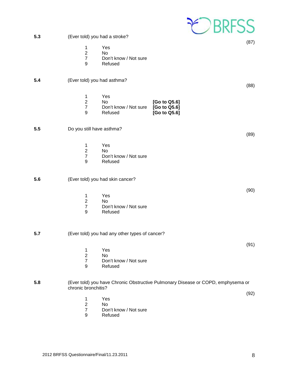|     |                                                      |                                                      |                                              | OBRFSS                                                                           |
|-----|------------------------------------------------------|------------------------------------------------------|----------------------------------------------|----------------------------------------------------------------------------------|
| 5.3 | (Ever told) you had a stroke?                        |                                                      |                                              |                                                                                  |
|     | $\mathbf 1$<br>$\overline{2}$<br>$\overline{7}$<br>9 | Yes<br><b>No</b><br>Don't know / Not sure<br>Refused |                                              | (87)                                                                             |
| 5.4 | (Ever told) you had asthma?                          |                                                      |                                              | (88)                                                                             |
|     | 1<br>$\overline{2}$<br>$\overline{7}$<br>9           | Yes<br>No<br>Don't know / Not sure<br>Refused        | [Go to Q5.6]<br>[Go to Q5.6]<br>[Go to Q5.6] |                                                                                  |
| 5.5 | Do you still have asthma?                            |                                                      |                                              | (89)                                                                             |
|     | 1<br>$\overline{c}$<br>$\overline{7}$<br>9           | Yes<br><b>No</b><br>Don't know / Not sure<br>Refused |                                              |                                                                                  |
| 5.6 |                                                      | (Ever told) you had skin cancer?                     |                                              |                                                                                  |
|     | 1<br>$\overline{2}$<br>$\overline{7}$<br>9           | Yes<br>No<br>Don't know / Not sure<br>Refused        |                                              | (90)                                                                             |
| 5.7 |                                                      | (Ever told) you had any other types of cancer?       |                                              |                                                                                  |
|     | 1<br>$\frac{2}{7}$<br>9                              | Yes<br>No<br>Don't know / Not sure<br>Refused        |                                              | (91)                                                                             |
| 5.8 | chronic bronchitis?                                  |                                                      |                                              | (Ever told) you have Chronic Obstructive Pulmonary Disease or COPD, emphysema or |
|     | 1<br>$\overline{c}$<br>$\overline{7}$<br>9           | Yes<br><b>No</b><br>Don't know / Not sure<br>Refused |                                              | (92)                                                                             |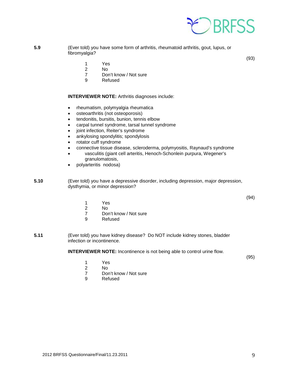

**5.9** (Ever told) you have some form of arthritis, rheumatoid arthritis, gout, lupus, or fibromyalgia?

(93)

- 1 Yes
- N<sub>o</sub>
- 7 Don't know / Not sure
- 9 Refused

**INTERVIEWER NOTE:** Arthritis diagnoses include:

- rheumatism, polymyalgia rheumatica
- osteoarthritis (not osteoporosis)
- tendonitis, bursitis, bunion, tennis elbow
- carpal tunnel syndrome, tarsal tunnel syndrome
- joint infection, Reiter's syndrome
- ankylosing spondylitis; spondylosis
- rotator cuff syndrome
- connective tissue disease, scleroderma, polymyositis, Raynaud's syndrome
- vasculitis (giant cell arteritis, Henoch-Schonlein purpura, Wegener's granulomatosis,
- polyarteritis nodosa)

**5.10** (Ever told) you have a depressive disorder, including depression, major depression, dysthymia, or minor depression?

(94)

- 1 Yes
- 2 No
- 7 Don't know / Not sure<br>9 Refused
- **Refused**
- **5.11** (Ever told) you have kidney disease? Do NOT include kidney stones, bladder infection or incontinence.

**INTERVIEWER NOTE:** Incontinence is not being able to control urine flow.

(95)

- 1 Yes<br>2 No No.
- 
- 7 Don't know / Not sure<br>9 Refused
- **Refused**

- 
- 2012 BRFSS Questionnaire/Final/11.23.2011 9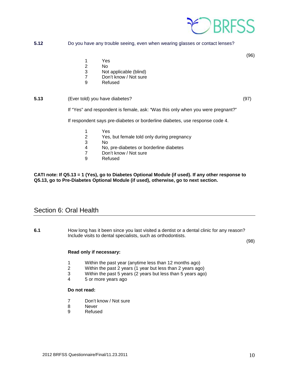

#### **5.12** Do you have any trouble seeing, even when wearing glasses or contact lenses?

(96)

- 1 Yes
- 2 No
- 3 Not applicable (blind)<br>7 Don't know / Not sure
- Don't know / Not sure
- 9 Refused

#### **5.13** (Ever told) you have diabetes? (97)

If "Yes" and respondent is female, ask: "Was this only when you were pregnant?"

If respondent says pre-diabetes or borderline diabetes, use response code 4.

- 1 Yes
- 2 Yes, but female told only during pregnancy
- 3 No<br>4 No.
- No, pre-diabetes or borderline diabetes
- 7 Don't know / Not sure<br>9 Refused
- **Refused**

#### **CATI note: If Q5.13 = 1 (Yes), go to Diabetes Optional Module (if used). If any other response to Q5.13, go to Pre-Diabetes Optional Module (if used), otherwise, go to next section.**

### <span id="page-9-0"></span>Section 6: Oral Health

**6.1** How long has it been since you last visited a dentist or a dental clinic for any reason? Include visits to dental specialists, such as orthodontists.

(98)

#### **Read only if necessary:**

- 1 Within the past year (anytime less than 12 months ago)
- 2 Within the past 2 years (1 year but less than 2 years ago)
- Within the past 5 years (2 years but less than 5 years ago)
- 4 5 or more years ago

#### **Do not read:**

- 7 Don't know / Not sure
- 8 Never
- 9 Refused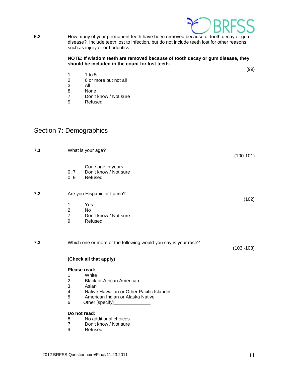

**6.2** How many of your permanent teeth have been removed because of tooth decay or gum disease? Include teeth lost to infection, but do not include teeth lost for other reasons, such as injury or orthodontics.

#### **NOTE: If wisdom teeth are removed because of tooth decay or gum disease, they should be included in the count for lost teeth.**

(99)

- 1 1 to 5
- 2 6 or more but not all<br>3 All
- 3 All
- 8 None<br>7 Don't
- 7 Don't know / Not sure<br>9 Refused
- Refused

# <span id="page-10-0"></span>Section 7: Demographics

| 7.1 |                                              | What is your age?                                              | $(100-101)$   |
|-----|----------------------------------------------|----------------------------------------------------------------|---------------|
|     | 0 <sub>7</sub><br>0.9                        | Code age in years<br>Don't know / Not sure<br>Refused          |               |
| 7.2 |                                              | Are you Hispanic or Latino?                                    |               |
|     | 1<br>$\boldsymbol{2}$<br>$\overline{7}$<br>9 | Yes<br><b>No</b><br>Don't know / Not sure<br>Refused           | (102)         |
| 7.3 |                                              | Which one or more of the following would you say is your race? | $(103 - 108)$ |
|     |                                              | (Check all that apply)                                         |               |
|     | Please read:                                 |                                                                |               |
|     | 1<br>$\overline{c}$                          | White<br><b>Black or African American</b>                      |               |
|     | 3<br>$\overline{\mathbf{4}}$                 | Asian<br>Native Hawaiian or Other Pacific Islander             |               |
|     | 5                                            | American Indian or Alaska Native                               |               |
|     | 6                                            | Other [specify]                                                |               |
|     | Do not read:                                 |                                                                |               |
|     | 8                                            | No additional choices                                          |               |
|     | $\overline{7}$                               | Don't know / Not sure                                          |               |
|     | 9                                            | Refused                                                        |               |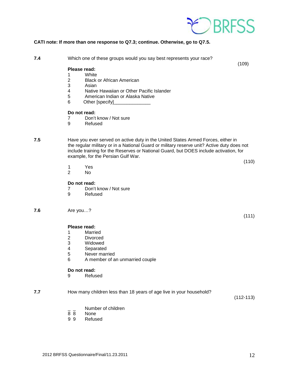

#### **CATI note: If more than one response to Q7.3; continue. Otherwise, go to Q7.5.**

**7.4** Which one of these groups would you say best represents your race?

(109)

(110)

(111)

#### **Please read:**

- 1 White
- 2 Black or African American
- **Asian**
- 4 Native Hawaiian or Other Pacific Islander<br>5 American Indian or Alaska Native
- 5 American Indian or Alaska Native<br>6 Other Ispecifyl
- Other [specify]

#### **Do not read:**

- 7 Don't know / Not sure
- 9 Refused
- 

**7.5** Have you ever served on active duty in the United States Armed Forces, either in the regular military or in a National Guard or military reserve unit? Active duty does not include training for the Reserves or National Guard, but DOES include activation, for example, for the Persian Gulf War.

- - 1 Yes<br>2 No N<sub>o</sub>
	-

#### **Do not read:**

- 7 Don't know / Not sure<br>9 Refused
	- **Refused**

#### **7.6** Are you…?

#### **Please read:**

- 1 Married<br>2 Divorce
- 
- 2 Divorced<br>3 Widowed
- 3 Widowed<br>4 Separated **Separated**
- 
- 5 Never married<br>6 A member of a 6 A member of an unmarried couple

# **Do not read:**<br>9 Refus

**Refused** 

**7.7** How many children less than 18 years of age live in your household?

(112-113)

- $\frac{1}{8}$   $\frac{1}{8}$  Number of children
- 8 8 None<br>9 9 Refus
- **Refused**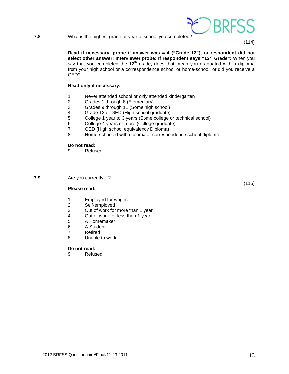**7.8** What is the highest grade or year of school you completed?

**Read if necessary, probe if answer was = 4 ("Grade 12"), or respondent did not select other answer: Interviewer probe: If respondent says "12th Grade":** When you say that you completed the  $12<sup>th</sup>$  grade, does that mean you graduated with a diploma from your high school or a correspondence school or home-school, or did you receive a GED?

#### **Read only if necessary:**

- 1 Never attended school or only attended kindergarten<br>2 Grades 1 through 8 (Elementary)
- 2 Grades 1 through 8 (Elementary)<br>3 Grades 9 through 11 (Some high
- 3 Grades 9 through 11 (Some high school)
- 4 Grade 12 or GED (High school graduate)<br>5 College 1 year to 3 years (Some college of
- College 1 year to 3 years (Some college or technical school)
- 6 College 4 years or more (College graduate)
- 7 GED (High school equivalency Diploma)<br>8 Home-schooled with diploma or correspo
- Home-schooled with diploma or correspondence school diploma

# **Do not read:**<br>9 **Refus**

**Refused** 

**7.9** Are you currently…?

#### **Please read:**

- 1 Employed for wages<br>2 Self-employed
- 2 Self-employed<br>3 Out of work for
- 3 Out of work for more than 1 year<br>4 Out of work for less than 1 year
- 4 Out of work for less than 1 year<br>5 A Homemaker
- 5 A Homemaker
- 6 A Student<br>7 Retired
- 7 Retired<br>8 Unable
- Unable to work

#### **Do not read:**

9 Refused



(115)

(114)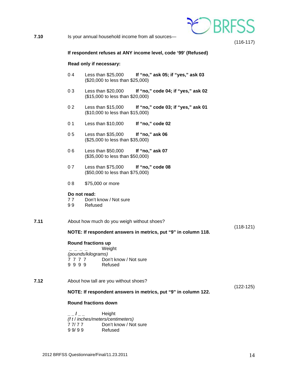

**7.10** Is your annual household income from all sources—

(116-117)

#### **If respondent refuses at ANY income level, code '99' (Refused)**

#### **Read only if necessary:**

- 0 4 Less than \$25,000 **If "no," ask 05; if "yes," ask 03** (\$20,000 to less than \$25,000)
- 0 3 Less than \$20,000 **If "no," code 04; if "yes," ask 02** (\$15,000 to less than \$20,000)
- 0 2 Less than \$15,000 **If "no," code 03; if "yes," ask 01** (\$10,000 to less than \$15,000)
- 0 1 Less than \$10,000 **If "no," code 02**
- 0 5 Less than \$35,000 **If "no," ask 06** (\$25,000 to less than \$35,000)
- 0 6 Less than \$50,000 **If "no," ask 07** (\$35,000 to less than \$50,000)
- 0 7 Less than \$75,000 **If "no," code 08** (\$50,000 to less than \$75,000)
- 0 8 \$75,000 or more

# **Do not read:**<br>77 Don't

- Don't know / Not sure
- 9 9 Refused
- **7.11** About how much do you weigh without shoes?
	- **NOTE: If respondent answers in metrics, put "9" in column 118.**

#### **Round fractions up**

**\_ \_ \_ \_** Weight *(pounds/kilograms)* 7 7 7 7 7 Don't know / Not sure<br>9 9 9 9 9 Refused 9 9 9 9

**7.12** About how tall are you without shoes?

#### **NOTE: If respondent answers in metrics, put "9" in column 122.**

#### **Round fractions down**

**\_ \_ / \_ \_** Height *(f t* / *inches/meters/centimeters)* 7 7/ 7 7 Don't know / Not sure<br>9 9/ 9 9 Refused 9 9 9 9

(118-121)

(122-125)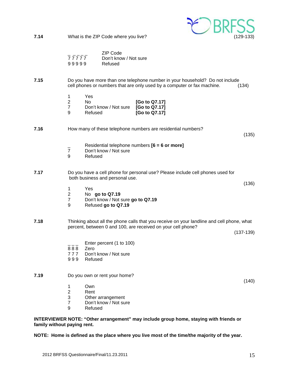

**NOTE: Home is defined as the place where you live most of the time/the majority of the year.**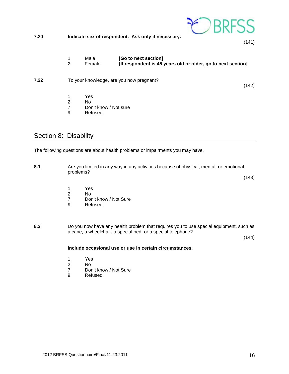

- 1 Yes<br>2 No
- 2 No<br>7 Dor
- 7 Don't know / Not sure<br>9 Refused
- **Refused**

# <span id="page-15-0"></span>Section 8: Disability

The following questions are about health problems or impairments you may have.

**8.1** Are you limited in any way in any activities because of physical, mental, or emotional problems? (143) 1 Yes 2 No Don't know / Not Sure 9 Refused **8.2** Do you now have any health problem that requires you to use special equipment, such as a cane, a wheelchair, a special bed, or a special telephone?

(144)

#### **Include occasional use or use in certain circumstances.**

- 1 Yes<br>2 No
- N<sub>o</sub>
- 7 Don't know / Not Sure<br>9 Refused
- **Refused**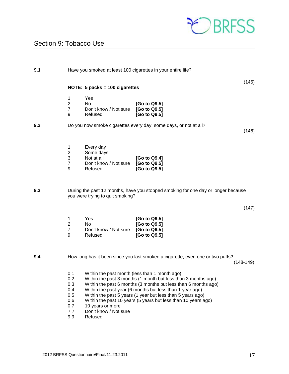

# <span id="page-16-0"></span>Section 9: Tobacco Use

| 9.1 |                                                                           |                                                                                            | Have you smoked at least 100 cigarettes in your entire life?                                                                                                                                                                                                                                                               |             |
|-----|---------------------------------------------------------------------------|--------------------------------------------------------------------------------------------|----------------------------------------------------------------------------------------------------------------------------------------------------------------------------------------------------------------------------------------------------------------------------------------------------------------------------|-------------|
|     |                                                                           | NOTE: 5 packs = 100 cigarettes                                                             |                                                                                                                                                                                                                                                                                                                            | (145)       |
|     | 1<br>$\boldsymbol{2}$<br>$\overline{7}$<br>9                              | Yes<br>No<br>Don't know / Not sure<br>Refused                                              | [Go to Q9.5]<br>[Go to Q9.5]<br>[Go to Q9.5]                                                                                                                                                                                                                                                                               |             |
| 9.2 |                                                                           |                                                                                            | Do you now smoke cigarettes every day, some days, or not at all?                                                                                                                                                                                                                                                           | (146)       |
|     | 1<br>$\boldsymbol{2}$<br>$\ensuremath{\mathsf{3}}$<br>$\overline{7}$<br>9 | Every day<br>Some days<br>Not at all<br>Don't know / Not sure<br>Refused                   | [Go to Q9.4]<br>[Go to Q9.5]<br>[Go to Q9.5]                                                                                                                                                                                                                                                                               |             |
| 9.3 |                                                                           | you were trying to quit smoking?                                                           | During the past 12 months, have you stopped smoking for one day or longer because                                                                                                                                                                                                                                          |             |
|     |                                                                           |                                                                                            |                                                                                                                                                                                                                                                                                                                            | (147)       |
|     | 1<br>$\mathbf 2$<br>$\overline{7}$<br>9                                   | Yes<br>No<br>Don't know / Not sure<br>Refused                                              | [Go to Q9.5]<br>[Go to Q9.5]<br>[Go to Q9.5]<br>[Go to Q9.5]                                                                                                                                                                                                                                                               |             |
| 9.4 |                                                                           |                                                                                            | How long has it been since you last smoked a cigarette, even one or two puffs?                                                                                                                                                                                                                                             | $(148-149)$ |
|     | 0 <sub>1</sub><br>0 <sub>2</sub><br>03<br>04<br>05<br>06<br>07<br>77      | Within the past month (less than 1 month ago)<br>10 years or more<br>Don't know / Not sure | Within the past 3 months (1 month but less than 3 months ago)<br>Within the past 6 months (3 months but less than 6 months ago)<br>Within the past year (6 months but less than 1 year ago)<br>Within the past 5 years (1 year but less than 5 years ago)<br>Within the past 10 years (5 years but less than 10 years ago) |             |

9 9 Refused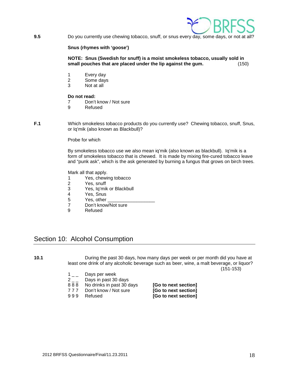

**9.5** Do you currently use chewing tobacco, snuff, or snus every day, some days, or not at all?

#### **Snus (rhymes with 'goose')**

**NOTE: Snus (Swedish for snuff) is a moist smokeless tobacco, usually sold in small pouches that are placed under the lip against the gum.** (150)

- 1 Every day
- 2 Some days<br>3 Not at all
- Not at all

# **Do not read:**<br> **7** Don't

- Don't know / Not sure
- 9 Refused
- **F.1** Which smokeless tobacco products do you currently use? Chewing tobacco, snuff, Snus, or Iq'mik (also known as Blackbull)?

Probe for which

By smokeless tobacco use we also mean iq'mik (also known as blackbull). Iq'mik is a form of smokeless tobacco that is chewed. It is made by mixing fire-cured tobacco leave and "punk ask", which is the ask generated by burning a fungus that grows on birch trees.

Mark all that apply.

- 1 Yes, chewing tobacco<br>2 Yes, snuff
- Yes, snuff
- 3 Yes, Iq'mik or Blackbull
- 4 Yes, Snus<br>5 Yes, other
- Yes, other
- 7 Don't know/Not sure<br>9 Refused
- **Refused**

### <span id="page-17-0"></span>Section 10: Alcohol Consumption

**10.1** During the past 30 days, how many days per week or per month did you have at least one drink of any alcoholic beverage such as beer, wine, a malt beverage, or liquor?

(151-153)

- $1_{--}$  Days per week
- $2<sub>-</sub>$  Days in past 30 days<br>888 No drinks in past 30 d
- 
- 
- 

8 8 8 No drinks in past 30 days **[Go to next section]**<br>17 7 Don't know / Not sure **[Go to next section]** 7 7 7 Don't know / Not sure **[Go to next section]** [Go to next section]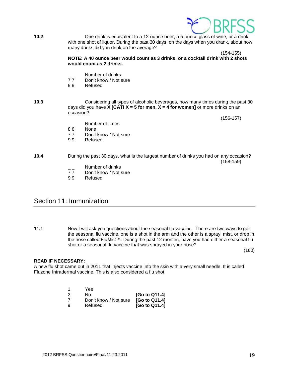

**10.2** One drink is equivalent to a 12-ounce beer, a 5-ounce glass of wine, or a drink with one shot of liquor. During the past 30 days, on the days when you drank, about how many drinks did you drink on the average?

(154-155)

**NOTE: A 40 ounce beer would count as 3 drinks, or a cocktail drink with 2 shots would count as 2 drinks.**

- \_\_ Number of drinks<br>77 Don't know / Not s
- 77 Don't know / Not sure<br>99 Refused
- **Refused**

#### **10.3** Considering all types of alcoholic beverages, how many times during the past 30 days did you have **X [CATI X = 5 for men, X = 4 for women]** or more drinks on an occasion?

(156-157)

- 88 None<br>77 Don't
- 77 Don't know / Not sure<br>99 Refused

Number of times

**Refused** 

**10.4** During the past 30 days, what is the largest number of drinks you had on any occasion? (158-159)

- Number of drinks
- 77 Don't know / Not sure<br>99 Refused
- **Refused**

### <span id="page-18-0"></span>Section 11: Immunization

**11.1** Now I will ask you questions about the seasonal flu vaccine. There are two ways to get the seasonal flu vaccine, one is a shot in the arm and the other is a spray, mist, or drop in the nose called FluMist™. During the past 12 months, have you had either a seasonal flu shot or a seasonal flu vaccine that was sprayed in your nose?

(160)

#### **READ IF NECESSARY:**

A new flu shot came out in 2011 that injects vaccine into the skin with a very small needle. It is called Fluzone Intradermal vaccine. This is also considered a flu shot.

|    | Yes                   |                           |
|----|-----------------------|---------------------------|
| -2 | No.                   | [Go to Q11.4]             |
| -7 | Don't know / Not sure | [G <sub>o</sub> to Q11.4] |
| -9 | Refused               | [Go to Q11.4]             |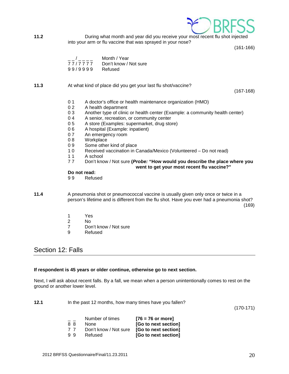

**11.2** During what month and year did you receive your most recent flu shot injected into your arm or flu vaccine that was sprayed in your nose?

(161-166)

| $\overline{\phantom{a}}$ | Month / Year          |
|--------------------------|-----------------------|
| 77/7777                  | Don't know / Not sure |
| 99/9999                  | Refused               |

#### **11.3** At what kind of place did you get your last flu shot/vaccine?

(167-168)

- 0 1 A doctor's office or health maintenance organization (HMO)
- 0 2 A health department
- 0 3 Another type of clinic or health center (Example: a community health center)<br>0 4 A senior, recreation, or community center
- A senior, recreation, or community center
- 0 5 A store (Examples: supermarket, drug store)
- 0 6 A hospital (Example: inpatient)
- 0 7 An emergency room<br>0 8 Workplace
- 0 8 Workplace<br>0 9 Some other
- 0 9 Some other kind of place<br>1 0 Received vaccination in C
- Received vaccination in Canada/Mexico (Volunteered Do not read)
- 11 A school<br>77 Don't kno
- 7 7 Don't know / Not sure **(***Probe:* **"How would you describe the place where you went to get your most recent flu vaccine?"**

**Do not read:**<br>99 Refus

**Refused** 

**11.4** A pneumonia shot or pneumococcal vaccine is usually given only once or twice in a person's lifetime and is different from the flu shot. Have you ever had a pneumonia shot?

(169)

- 1 Yes<br>2 No
- 2 No<br>7 Dor
- Don't know / Not sure
- 9 Refused

### <span id="page-19-0"></span>Section 12: Falls

#### **If respondent is 45 years or older continue, otherwise go to next section.**

Next, I will ask about recent falls. By a fall, we mean when a person unintentionally comes to rest on the ground or another lower level.

**12.1** In the past 12 months, how many times have you fallen? (170-171) Number of times **[76 = 76 or more]** 

| 88 | None                                       | [Go to next section] |
|----|--------------------------------------------|----------------------|
| 77 | Don't know / Not sure [Go to next section] |                      |
| 99 | Refused                                    | [Go to next section] |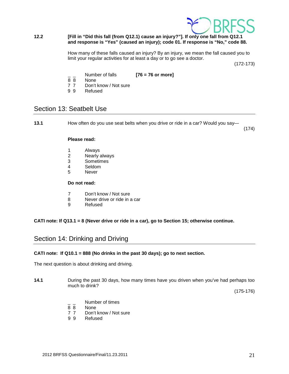

#### **12.2 [Fill in "Did this fall (from Q12.1) cause an injury?"]. If only one fall from Q12.1 and response is "Yes" (caused an injury); code 01. If response is "No," code 88.**

How many of these falls caused an injury? By an injury, we mean the fall caused you to limit your regular activities for at least a day or to go see a doctor.

(172-173)

- $\frac{1}{8}$  Number of falls **[76 = 76 or more]**
- 8 8 None<br>7 7 Don't
- Don't know / Not sure
- 9 9 Refused

### <span id="page-20-0"></span>Section 13: Seatbelt Use

**13.1** How often do you use seat belts when you drive or ride in a car? Would you say—

(174)

#### **Please read:**

- 1 Always
- 2 Nearly always
- 3 Sometimes<br>4 Seldom
- Seldom
- 5 Never

#### **Do not read:**

- 7 Don't know / Not sure
- 8 Never drive or ride in a car
- 9 Refused

#### **CATI note: If Q13.1 = 8 (Never drive or ride in a car), go to Section 15; otherwise continue.**

### <span id="page-20-1"></span>Section 14: Drinking and Driving

#### **CATI note: If Q10.1 = 888 (No drinks in the past 30 days); go to next section.**

The next question is about drinking and driving.

**14.1** During the past 30 days, how many times have you driven when you've had perhaps too much to drink?

(175-176)

- $\frac{1}{8}$   $\frac{1}{8}$  Number of times
- None
- 7 7 Don't know / Not sure
- 9 9 Refused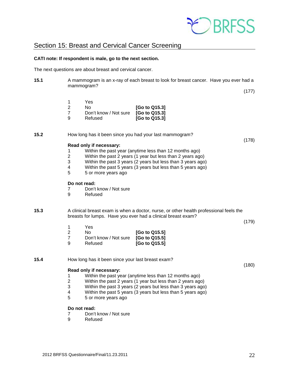

### <span id="page-21-0"></span>Section 15: Breast and Cervical Cancer Screening

#### <span id="page-21-1"></span>**CATI note: If respondent is male, go to the next section.**

The next questions are about breast and cervical cancer.

**15.1** A mammogram is an x-ray of each breast to look for breast cancer. Have you ever had a mammogram?

(178)

| 1 | Yes                   |               |
|---|-----------------------|---------------|
| 2 | N٥                    | [Go to Q15.3] |
| 7 | Don't know / Not sure | [Go to Q15.3] |
| 9 | Refused               | [Go to Q15.3] |

**15.2** How long has it been since you had your last mammogram?

#### **Read only if necessary:**

- 1 Within the past year (anytime less than 12 months ago)
- 2 Within the past 2 years (1 year but less than 2 years ago)
- 3 Within the past 3 years (2 years but less than 3 years ago)
- 4 Within the past 5 years (3 years but less than 5 years ago)<br>5 5 or more years ago
- 5 5 or more years ago

#### **Do not read:**

- 7 Don't know / Not sure
- 9 Refused

**15.3** A clinical breast exam is when a doctor, nurse, or other health professional feels the breasts for lumps. Have you ever had a clinical breast exam?

(179)

- 1 Yes
- 2 No **[Go to Q15.5]** 7 Don't know / Not sure **[Go to Q15.5]**
- 9 Refused **[Go to Q15.5]**

**15.4** How long has it been since your last breast exam?

#### (180)

- **Read only if necessary:**
- 1 Within the past year (anytime less than 12 months ago)
- 2 Within the past 2 years (1 year but less than 2 years ago)<br>3 Within the past 3 years (2 years but less than 3 years ago
- Within the past 3 years (2 years but less than 3 years ago)
- 4 Within the past 5 years (3 years but less than 5 years ago)
- 5 5 or more years ago

# **Do not read:**<br> **7** Don't

- 7 Don't know / Not sure<br>9 Refused
- **Refused**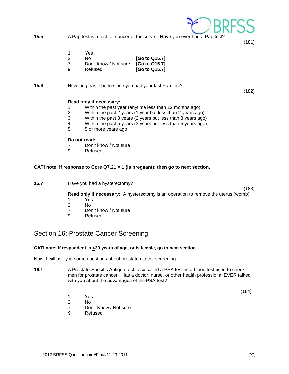**15.5** A Pap test is a test for cancer of the cervix. Have you ever had a Pap test?

(181)

(182)

- 1 Yes<br>2 No
- 2 No **[Go to Q15.7]**
- 7 Don't know / Not sure<br>9 Refused [Go to Q15.7]
- **15.6** How long has it been since you had your last Pap test?

#### **Read only if necessary:**

- 1 Within the past year (anytime less than 12 months ago)
- 2 Within the past 2 years (1 year but less than 2 years ago)
- Within the past 3 years (2 years but less than 3 years ago)
- 4 Within the past 5 years (3 years but less than 5 years ago)
- 5 5 or more years ago

#### **Do not read:**

- 7 Don't know / Not sure<br>9 Refused
- **Refused**

#### **CATI note: If response to Core Q7.21 = 1 (is pregnant); then go to next section.**

**15.7** Have you had a hysterectomy?

(183) **Read only if necessary:** A hysterectomy is an operation to remove the uterus (womb).

- 1 Yes<br>2 No
- 2 No<br>7 Dor
- 7 Don't know / Not sure<br>9 Refused
	- **Refused**

# Section 16: Prostate Cancer Screening

#### **CATI note: If respondent is <39 years of age, or is female, go to next section.**

Now, I will ask you some questions about prostate cancer screening.

**16.1** A Prostate-Specific Antigen test, also called a PSA test, is a blood test used to check men for prostate cancer. Has a doctor, nurse, or other health professional EVER talked with you about the advantages of the PSA test?

(184)

- 1 Yes
- 2 No
- 7 Don't Know / Not sure
- 9 Refused

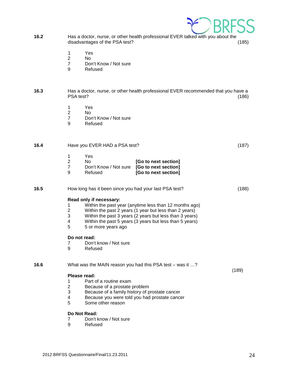

- **16.2** Has a doctor, nurse, or other health professional EVER talked with you about the disadvantages of the PSA test?
	- 1 Yes<br>2 No
	- 2 No<br>7 Dor
	- 7 Don't Know / Not sure<br>9 Refused
	- **Refused**

#### **16.3** Has a doctor, nurse, or other health professional EVER recommended that you have a PSA test? (186)

- 1 Yes<br>2 No
- 2 No<br>7 Dor
- 7 Don't Know / Not sure<br>9 Refused
- **Refused**

| 16.4 | Have you EVER HAD a PSA test?                                                                                                                                                                                                                                                                                                                                                                             | (187) |
|------|-----------------------------------------------------------------------------------------------------------------------------------------------------------------------------------------------------------------------------------------------------------------------------------------------------------------------------------------------------------------------------------------------------------|-------|
|      | 1<br>Yes<br>$\overline{2}$<br>No.<br>[Go to next section]<br>$\overline{7}$<br>Don't Know / Not sure<br>[Go to next section]<br>9<br>Refused<br>[Go to next section]                                                                                                                                                                                                                                      |       |
| 16.5 | How long has it been since you had your last PSA test?                                                                                                                                                                                                                                                                                                                                                    | (188) |
|      | Read only if necessary:<br>Within the past year (anytime less than 12 months ago)<br>1<br>$\overline{2}$<br>Within the past 2 years (1 year but less than 2 years)<br>3<br>Within the past 3 years (2 years but less than 3 years)<br>4<br>Within the past 5 years (3 years but less than 5 years)<br>5<br>5 or more years ago<br>Do not read:<br>Don't know / Not sure<br>$\overline{7}$<br>9<br>Refused |       |
| 16.6 | What was the MAIN reason you had this PSA test – was it ?<br>Please read:<br>1<br>Part of a routine exam<br>$\overline{2}$<br>Because of a prostate problem<br>3<br>Because of a family history of prostate cancer<br>Because you were told you had prostate cancer<br>4<br>5<br>Some other reason                                                                                                        | (189) |
|      | Do Not Read:<br>Don't know / Not sure<br>7<br>9<br>Refused                                                                                                                                                                                                                                                                                                                                                |       |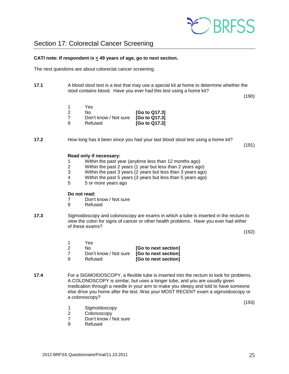

#### <span id="page-24-0"></span>**CATI note: If respondent is < 49 years of age, go to next section.**

The next questions are about colorectal cancer screening.

**17.1** A blood stool test is a test that may use a special kit at home to determine whether the stool contains blood. Have you ever had this test using a home kit?

(190)

|     | Yes                   |               |
|-----|-----------------------|---------------|
| - 2 | N٥                    | [Go to Q17.3] |
|     | Don't know / Not sure | [Go to Q17.3] |
| -9  | Refused               | [Go to Q17.3] |

**17.2** How long has it been since you had your last blood stool test using a home kit?

(191)

#### **Read only if necessary:**

- 1 Within the past year (anytime less than 12 months ago)
- Within the past 2 years (1 year but less than 2 years ago)
- 3 Within the past 3 years (2 years but less than 3 years ago)
- 4 Within the past 5 years (3 years but less than 5 years ago)<br>5 5 or more years ago
- 5 5 or more years ago

#### **Do not read:**

- 7 Don't know / Not sure
- 9 Refused
- **17.3** Sigmoidoscopy and colonoscopy are exams in which a tube is inserted in the rectum to view the colon for signs of cancer or other health problems. Have you ever had either of these exams?

(192)

|     | Yes                   |                      |
|-----|-----------------------|----------------------|
| - 2 | No.                   | [Go to next section] |
|     | Don't know / Not sure | [Go to next section] |
| -9  | Refused               | [Go to next section] |

**17.4** For a SIGMOIDOSCOPY, a flexible tube is inserted into the rectum to look for problems. A COLONOSCOPY is similar, but uses a longer tube, and you are usually given medication through a needle in your arm to make you sleepy and told to have someone else drive you home after the test. Was your MOST RECENT exam a sigmoidoscopy or a colonoscopy?

(193)

- 1 Sigmoidoscopy
- 2 Colonoscopy<br>7 Don't know / I
- 7 Don't know / Not sure<br>9 Refused
- **Refused**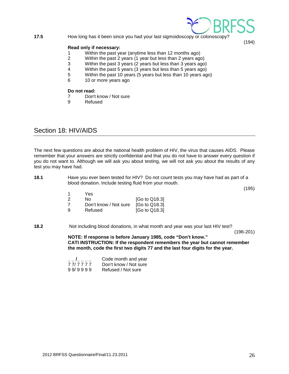#### **17.5** How long has it been since you had your last sigmoidoscopy or colonoscopy?

#### **Read only if necessary:**

- 1 Within the past year (anytime less than 12 months ago)
- 2 Within the past 2 years (1 year but less than 2 years ago)
- 3 Within the past 3 years (2 years but less than 3 years ago)<br>4 Within the past 5 years (3 years but less than 5 years ago)
- Within the past 5 years (3 years but less than 5 years ago)
- 5 Within the past 10 years (5 years but less than 10 years ago)
- 6 10 or more years ago

# **Do not read:**<br> **7** Don't

- 7 Don't know / Not sure<br>9 Refused
- **Refused**

### <span id="page-25-0"></span>Section 18: HIV/AIDS

The next few questions are about the national health problem of HIV, the virus that causes AIDS. Please remember that your answers are strictly confidential and that you do not have to answer every question if you do not want to. Although we will ask you about testing, we will not ask you about the results of any test you may have had.

| 18.1 | Have you ever been tested for HIV? Do not count tests you may have had as part of a |
|------|-------------------------------------------------------------------------------------|
|      | blood donation. Include testing fluid from your mouth.                              |

(195)

(194)

| 1 | Yes                   |                           |
|---|-----------------------|---------------------------|
| 2 | No.                   | [Go to Q18.3]             |
| 7 | Don't know / Not sure | [G <sub>o</sub> to Q18.3] |
| 9 | Refused               | [Go to Q18.3]             |

**18.2** Not including blood donations, in what month and year was your last HIV test?

(196-201)

**NOTE: If response is before January 1985, code "Don't know." CATI INSTRUCTION: If the respondent remembers the year but cannot remember the month, code the first two digits 77 and the last four digits for the year.** 

|         | Code month and year   |
|---------|-----------------------|
| 77/7777 | Don't know / Not sure |
| 99/9999 | Refused / Not sure    |

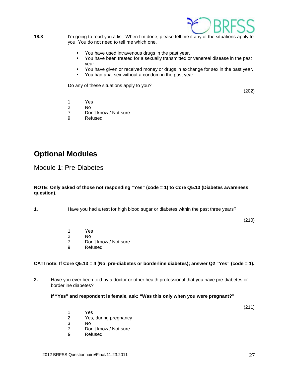

**18.3** I'm going to read you a list. When I'm done, please tell me if any of the situations apply to you. You do not need to tell me which one.

- You have used intravenous drugs in the past year.
- You have been treated for a sexually transmitted or venereal disease in the past year.
- You have given or received money or drugs in exchange for sex in the past year.
- You had anal sex without a condom in the past year.

Do any of these situations apply to you?

(202)

1 Yes

2 No

- 7 Don't know / Not sure<br>9 Refused
- **Refused**

# <span id="page-26-0"></span>**Optional Modules**

<span id="page-26-1"></span>Module 1: Pre-Diabetes

#### **NOTE: Only asked of those not responding "Yes" (code = 1) to Core Q5.13 (Diabetes awareness question).**

**1.** Have you had a test for high blood sugar or diabetes within the past three years?

(210)

- 1 Yes<br>2 No
- 2 No<br>7 Dor
- Don't know / Not sure
- 9 Refused

#### **CATI note: If Core Q5.13 = 4 (No, pre-diabetes or borderline diabetes); answer Q2 "Yes" (code = 1).**

**2.** Have you ever been told by a doctor or other health professional that you have pre-diabetes or borderline diabetes?

**If "Yes" and respondent is female, ask: "Was this only when you were pregnant?"** 

(211)

- 1 Yes<br>2 Yes. Yes, during pregnancy
- 
- 3 No 7 Don't know / Not sure<br>9 Refused
- **Refused**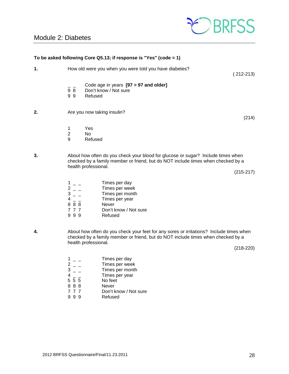# <span id="page-27-0"></span>Module 2: Diabetes



|    |                                                                                                                          | To be asked following Core Q5.13; if response is "Yes" (code = 1)                                                                                                                                                                                                                                                                                                                                                                                                   |             |
|----|--------------------------------------------------------------------------------------------------------------------------|---------------------------------------------------------------------------------------------------------------------------------------------------------------------------------------------------------------------------------------------------------------------------------------------------------------------------------------------------------------------------------------------------------------------------------------------------------------------|-------------|
| 1. |                                                                                                                          | How old were you when you were told you have diabetes?                                                                                                                                                                                                                                                                                                                                                                                                              | $(212-213)$ |
|    | $\overline{9}$ $\overline{8}$<br>99                                                                                      | Code age in years $[97 = 97$ and older]<br>Don't know / Not sure<br>Refused                                                                                                                                                                                                                                                                                                                                                                                         |             |
| 2. |                                                                                                                          | Are you now taking insulin?                                                                                                                                                                                                                                                                                                                                                                                                                                         | (214)       |
|    | 1<br>$\overline{c}$<br>9                                                                                                 | Yes<br>No<br>Refused                                                                                                                                                                                                                                                                                                                                                                                                                                                |             |
| 3. |                                                                                                                          | About how often do you check your blood for glucose or sugar? Include times when<br>checked by a family member or friend, but do NOT include times when checked by a<br>health professional.                                                                                                                                                                                                                                                                        | $(215-217)$ |
|    | $\frac{1}{2} - \frac{1}{3} - \frac{1}{4}$<br>$\frac{4}{8} - \frac{1}{8}$<br>$\frac{1}{8}$<br>$\frac{1}{8}$<br>777<br>999 | Times per day<br>Times per week<br>Times per month<br>Times per year<br>Never<br>Don't know / Not sure<br>Refused                                                                                                                                                                                                                                                                                                                                                   |             |
|    |                                                                                                                          | Alternative official descriptions of the control of the state of the state of the state of the state of the state of the state of the state of the state of the state of the state of the state of the state of the state of t<br>$\sim$ . The set of the set of $\sim$ 1.1 and 1.1 and 1.1 and 1.1 and 1.1 and 1.1 and 1.1 and 1.1 and 1.1 and 1.1 and 1.1 and 1.1 and 1.1 and 1.1 and 1.1 and 1.1 and 1.1 and 1.1 and 1.1 and 1.1 and 1.1 and 1.1 and 1.1 and 1.1 |             |

**4.** About how often do you check your feet for any sores or irritations? Include times when checked by a family member or friend, but do NOT include times when checked by a health professional.

(218-220)

|     | Times per day         |
|-----|-----------------------|
|     | Times per week        |
| 3   | Times per month       |
|     | Times per year        |
| 555 | No feet               |
| 888 | <b>Never</b>          |
| 777 | Don't know / Not sure |
|     | Refused               |
|     |                       |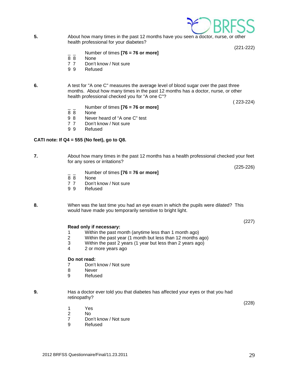

**5.** About how many times in the past 12 months have you seen a doctor, nurse, or other health professional for your diabetes?

(221-222)

- \_ \_ Number of times **[76 = 76 or more]**
- None
- 7 7 Don't know / Not sure<br>9 9 Refused
- **Refused**

**6.** A test for "A one C" measures the average level of blood sugar over the past three months. About how many times in the past 12 months has a doctor, nurse, or other health professional checked you for "A one C"?

( 223-224)

- $\frac{1}{8}$  Number of times **[76 = 76 or more]**
- 8 8 None<br>9 8 Never
- Never heard of "A one C" test
- 7 7 Don't know / Not sure
- 9 9 Refused

#### **CATI note: If Q4 = 555 (No feet), go to Q8.**

**7.** About how many times in the past 12 months has a health professional checked your feet for any sores or irritations?

(225-226)

(227)

- $\frac{1}{8}$  Number of times **[76 = 76 or more]**<br> $\frac{1}{8}$  None
- None
- 7 7 Don't know / Not sure
- 9 9 Refused

**8.** When was the last time you had an eye exam in which the pupils were dilated? This would have made you temporarily sensitive to bright light.

#### **Read only if necessary:**

- 1 Within the past month (anytime less than 1 month ago)
- 2 Within the past year (1 month but less than 12 months ago)<br>3 Within the past 2 years (1 year but less than 2 years ago)
- 3 Within the past 2 years (1 year but less than 2 years ago)<br>4 2 or more years ago
- 2 or more years ago

#### **Do not read:**

- 7 Don't know / Not sure
- 8 Never
- 9 Refused
- **9.** Has a doctor ever told you that diabetes has affected your eyes or that you had retinopathy?

(228)

- 1 Yes
- 2 No
- 7 Don't know / Not sure<br>9 Refused
- **Refused**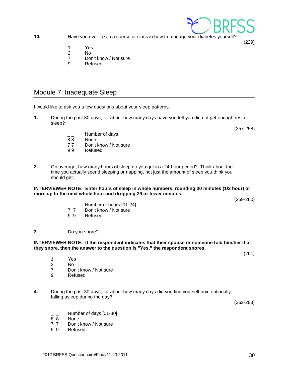**10.** Have you ever taken a course or class in how to manage your diabetes yourself?

- 1 Yes
- $N<sub>0</sub>$
- 7 Don't know / Not sure
- 9 Refused

### <span id="page-29-0"></span>Module 7: Inadequate Sleep

I would like to ask you a few questions about your sleep patterns.

- **1.** During the past 30 days, for about how many days have you felt you did not get enough rest or sleep?
	- Number of days
	- 8 8 None
	- 77 Don't know / Not sure<br>99 Refused
	- **Refused**
- **2.** On average, how many hours of sleep do you get in a 24-hour period? Think about the time you actually spend sleeping or napping, not just the amount of sleep you think you should get.

#### **INTERVIEWER NOTE: Enter hours of sleep in whole numbers, rounding 30 minutes (1/2 hour) or more up to the next whole hour and dropping 29 or fewer minutes.**

(259-260)

- $\frac{1}{7}$  Number of hours [01-24]<br>7 7 Don't know / Not sure
- 7 7 Don't know / Not sure<br>9 9 Refused
- **Refused**

#### **3.** Do you snore?

#### **INTERVIEWER NOTE: If the respondent indicates that their spouse or someone told him/her that they snore, then the answer to the question is "Yes," the respondent snores.**

- 1 Yes<br>2 No
- N<sub>o</sub>
- 7 Don't know / Not sure
- 9 Refused
- **4.** During the past 30 days, for about how many days did you find yourself unintentionally falling asleep during the day?

(262-263)

- $\frac{1}{8}$   $\frac{1}{8}$  Number of days [01-30]
- 8 8 None<br>7 7 Don't
- 7 7 Don't know / Not sure<br>9 9 Refused
- **Refused**



(257-258)

(229)

(261)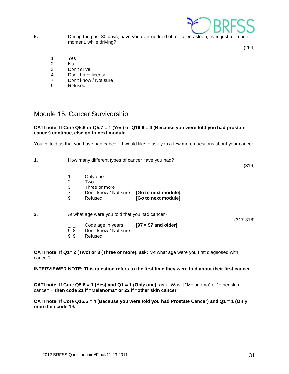

**5.** During the past 30 days, have you ever nodded off or fallen asleep, even just for a brief moment, while driving?

(264)

- 1 Yes
- 2 No<br>3 Dor
- Don't drive
- 4 Don't have license
- 7 Don't know / Not sure<br>9 Refused
- **Refused**

### <span id="page-30-0"></span>Module 15: Cancer Survivorship

#### **CATI note: If Core Q5.6 or Q5.7 = 1 (Yes) or Q16.6 = 4 (Because you were told you had prostate cancer) continue, else go to next module.**

You've told us that you have had cancer. I would like to ask you a few more questions about your cancer.

| 1. | How many different types of cancer have you had? |                       | (316)               |  |  |
|----|--------------------------------------------------|-----------------------|---------------------|--|--|
|    | 2                                                | Only one<br>Two       |                     |  |  |
|    | 3                                                | Three or more         |                     |  |  |
|    |                                                  | Don't know / Not sure | [Go to next module] |  |  |
|    | 9                                                | Refused               | [Go to next module] |  |  |
|    |                                                  |                       |                     |  |  |
|    |                                                  |                       |                     |  |  |

**2.** At what age were you told that you had cancer?

(317-318)

- \_ \_ Code age in years **[97 = 97 and older]**
- 9 8 Don't know / Not sure<br>9 9 Refused
- **Refused**

**CATI note: If Q1= 2 (Two) or 3 (Three or more), ask:** "At what age were you first diagnosed with cancer?"

**INTERVIEWER NOTE: This question refers to the first time they were told about their first cancer.**

**CATI note: If Core Q5.6 = 1 (Yes) and Q1 = 1 (Only one): ask "**Was it "Melanoma" or "other skin cancer"? **then code 21 if "Melanoma" or 22 if "other skin cancer"**

**CATI note: If Core Q16.6 = 4 (Because you were told you had Prostate Cancer) and Q1 = 1 (Only one) then code 19.**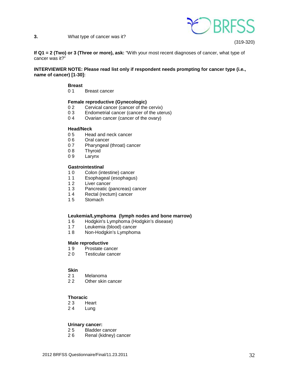

**3.** What type of cancer was it?

(319-320)

**If Q1 = 2 (Two) or 3 (Three or more), ask:** "With your most recent diagnoses of cancer, what type of cancer was it?"

#### **INTERVIEWER NOTE: Please read list only if respondent needs prompting for cancer type (i.e., name of cancer) [1-30]:**

#### **Breast**

0 1 Breast cancer

#### **Female reproductive (Gynecologic)**

- 0 2 Cervical cancer (cancer of the cervix)<br>0 3 Endometrial cancer (cancer of the ute
- 0 3 Endometrial cancer (cancer of the uterus)<br>0 4 Ovarian cancer (cancer of the ovary)
- Ovarian cancer (cancer of the ovary)

#### **Head/Neck**

- 0 5 Head and neck cancer<br>0 6 Oral cancer
- 0 6 Oral cancer<br>0 7 Pharvngeal
- 0 7 Pharyngeal (throat) cancer<br>0 8 Thyroid
- 0 8 Thyroid<br>0 9 Larynx
- Larynx

#### **Gastrointestinal**

- 10 Colon (intestine) cancer<br>11 Esophageal (esophagus
- Esophageal (esophagus)
- 12 Liver cancer
- 1 3 Pancreatic (pancreas) cancer
- 14 Rectal (rectum) cancer<br>15 Stomach
- Stomach

#### **Leukemia/Lymphoma (lymph nodes and bone marrow)**

- 16 Hodgkin's Lymphoma (Hodgkin's disease)<br>17 Leukemia (blood) cancer
- Leukemia (blood) cancer
- 1 8 Non-Hodgkin's Lymphoma

# **Male reproductive**<br>1.9 **Prostate ca**

- 1 9 Prostate cancer<br>2 0 Testicular cance
- **Testicular cancer**

# **Skin**<br>2 1

- 21 Melanoma<br>22 Other skin
- Other skin cancer

#### **Thoracic**

- 23 Heart<br>24 Lung
- **Lung**

#### **Urinary cancer:**

- 2 5 Bladder cancer
- 2 6 Renal (kidney) cancer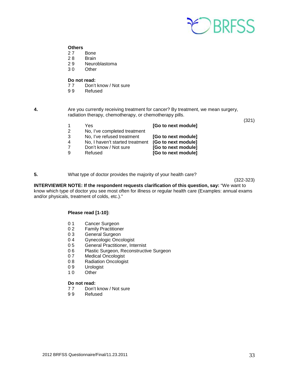

# **Others**

- 2 7 Bone<br>2 8 Brain
- **Brain**
- 29 Neuroblastoma<br>30 Other
- Other

# **Do not read:**<br>77 Don't

- Don't know / Not sure
- 9 9 Refused

**4.** Are you currently receiving treatment for cancer? By treatment, we mean surgery, radiation therapy, chemotherapy, or chemotherapy pills.

(321)

| 2 | Yes<br>No, I've completed treatment | [Go to next module] |
|---|-------------------------------------|---------------------|
| 3 | No, I've refused treatment          | [Go to next module] |
| 4 | No, I haven't started treatment     | [Go to next module] |
|   | Don't know / Not sure               | [Go to next module] |
| 9 | Refused                             | [Go to next module] |

**5.** What type of doctor provides the majority of your health care?

(322-323)

**INTERVIEWER NOTE: If the respondent requests clarification of this question, say:** "We want to know which type of doctor you see most often for illness or regular health care (Examples: annual exams and/or physicals, treatment of colds, etc.)."

#### **Please read [1-10]:**

- 0 1 Cancer Surgeon<br>0 2 Family Practition
- 0 2 Family Practitioner<br>0 3 General Surgeon
- 0 3 General Surgeon<br>0 4 Gynecologic Once
- 04 Gynecologic Oncologist<br>05 General Practitioner, Inte
- General Practitioner, Internist
- 0 6 Plastic Surgeon, Reconstructive Surgeon
- 0 7 Medical Oncologist<br>0 8 Radiation Oncologis
- **Radiation Oncologist**
- 0 9 Urologist<br>1 0 Other
- Other

# **Do not read:**<br>77 Don't

- 77 Don't know / Not sure<br>99 Refused
- **Refused**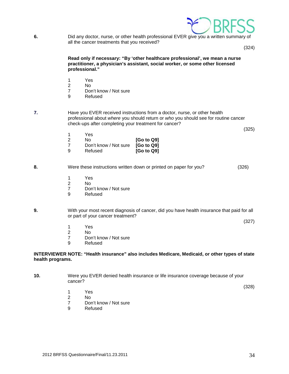

**6.** Did any doctor, nurse, or other health professional EVER give you a written summary of all the cancer treatments that you received?

(324)

 **Read only if necessary: "By 'other healthcare professional', we mean a nurse practitioner, a physician's assistant, social worker, or some other licensed professional."**

- 1 Yes
- 2 No
	- 7 Don't know / Not sure
	- 9 Refused

**7.** Have you EVER received instructions from a doctor, nurse, or other health professional about *where* you should return or *who* you should see for routine cancer check-ups after completing your treatment for cancer?

(325)

|   | Yes<br>N٥                                   | [G <sub>o</sub> to Q <sub>9</sub> ] |
|---|---------------------------------------------|-------------------------------------|
| a | Don't know / Not sure [Go to Q9]<br>Refused | [G <sub>o</sub> to Q <sub>9</sub> ] |

**8.** Were these instructions written down or printed on paper for you? (326)

- 1 Yes<br>2 No
- 2 No
	- 7 Don't know / Not sure
	- 9 Refused

**9.** With your most recent diagnosis of cancer, did you have health insurance that paid for all or part of your cancer treatment?

(327)

- 1 Yes
- 2 No
	- 7 Don't know / Not sure
	- 9 Refused

#### **INTERVIEWER NOTE: "Health insurance" also includes Medicare, Medicaid, or other types of state health programs.**

**10.** Were you EVER denied health insurance or life insurance coverage because of your cancer?

(328)

- 1 Yes
- 2 No
	- 7 Don't know / Not sure<br>9 Refused
	- **Refused**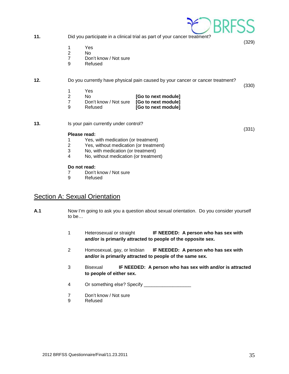| 11. |                                            |                                                                             | Did you participate in a clinical trial as part of your cancer treatment?      |       |
|-----|--------------------------------------------|-----------------------------------------------------------------------------|--------------------------------------------------------------------------------|-------|
|     | 1<br>$\overline{2}$<br>$\overline{7}$<br>9 | Yes<br>No.<br>Don't know / Not sure<br>Refused                              |                                                                                | (329) |
| 12. |                                            |                                                                             | Do you currently have physical pain caused by your cancer or cancer treatment? | (330) |
|     | 1                                          | Yes                                                                         |                                                                                |       |
|     | $\overline{2}$                             | No                                                                          | [Go to next module]                                                            |       |
|     | $\overline{7}$<br>9                        | Don't know / Not sure<br>Refused                                            | [Go to next module]<br>[Go to next module]                                     |       |
| 13. | Is your pain currently under control?      |                                                                             |                                                                                | (331) |
|     |                                            | Please read:                                                                |                                                                                |       |
|     | 1                                          | Yes, with medication (or treatment)                                         |                                                                                |       |
|     | 2                                          | Yes, without medication (or treatment)                                      |                                                                                |       |
|     | 3<br>4                                     | No, with medication (or treatment)<br>No, without medication (or treatment) |                                                                                |       |
|     |                                            |                                                                             |                                                                                |       |

#### **Do not read:**

- 7 Don't know / Not sure<br>9 Refused
- **Refused**

## <span id="page-34-0"></span>**Section A: Sexual Orientation**

- **A.1** Now I'm going to ask you a question about sexual orientation. Do you consider yourself to be…
	- 1 Heterosexual or straight **IF NEEDED: A person who has sex with and/or is primarily attracted to people of the opposite sex.**
	- 2 Homosexual, gay, or lesbian **IF NEEDED: A person who has sex with and/or is primarily attracted to people of the same sex.**
	- 3 Bisexual **IF NEEDED: A person who has sex with and/or is attracted to people of either sex.**
	- 4 Or something else? Specify \_\_\_\_\_\_\_\_\_\_\_\_\_\_\_\_\_\_
	- 7 Don't know / Not sure
	- 9 Refused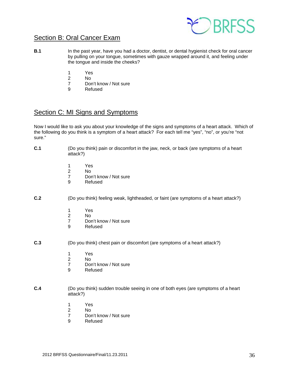

### <span id="page-35-0"></span>Section B: Oral Cancer Exam

- **B.1** In the past year, have you had a doctor, dentist, or dental hygienist check for oral cancer by pulling on your tongue, sometimes with gauze wrapped around it, and feeling under the tongue and inside the cheeks?
- 1 Yes
- 2 No
	- 7 Don't know / Not sure<br>9 Refused
	- **Refused**

# <span id="page-35-1"></span>Section C: MI Signs and Symptoms

Now I would like to ask you about your knowledge of the signs and symptoms of a heart attack. Which of the following do you think is a symptom of a heart attack? For each tell me "yes", "no", or you're "not sure."

- **C.1** (Do you think) pain or discomfort in the jaw, neck, or back (are symptoms of a heart attack?)
	- 1 Yes
- 2 No
	- 7 Don't know / Not sure
	- 9 Refused

#### **C.2** (Do you think) feeling weak, lightheaded, or faint (are symptoms of a heart attack?)

- 1 Yes<br>2 No
- 2 No
	- 7 Don't know / Not sure<br>9 Refused
	- **Refused**
- **C.3** (Do you think) chest pain or discomfort (are symptoms of a heart attack?)
	- 1 Yes
- 2 No
	- 7 Don't know / Not sure<br>9 Refused
	- **Refused**
- **C.4** (Do you think) sudden trouble seeing in one of both eyes (are symptoms of a heart attack?)
- 1 Yes
- 2 No
	- 7 Don't know / Not sure<br>9 Refused
	- **Refused**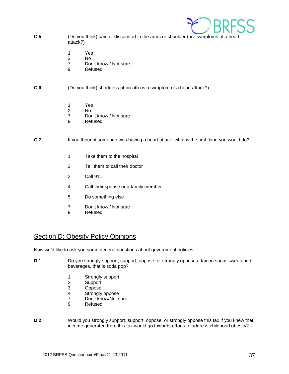

- **C.5** (Do you think) pain or discomfort in the arms or shoulder (are symptoms of a heart attack?)
- 1 Yes
- 2 No
	- 7 Don't know / Not sure<br>9 Refused
	- **Refused**

#### **C.6** (Do you think) shortness of breath (is a symptom of a heart attack?)

- 1 Yes
- 2 No
	- 7 Don't know / Not sure
	- 9 Refused

#### **C.7** If you thought someone was having a heart attack, what is the first thing you would do?

- 1 Take them to the hospital
- 2 Tell them to call their doctor
- 3 Call 911
- 4 Call their spouse or a family member
- 5 Do something else
- 7 Don't know / Not sure<br>9 Refused
- **Refused**

### <span id="page-36-0"></span>Section D: Obesity Policy Opinions

Now we'd like to ask you some general questions about government policies.

- **D.1** Do you strongly support, support, oppose, or strongly oppose a tax on sugar-sweetened beverages, that is soda pop?
	- 1 Strongly support<br>2 Support
	- 2 Support<br>3 Oppose
	-
	- 3 Oppose<br>4 Strongly 4 Strongly oppose<br>7 Don't know/Not s
	- Don't know/Not sure
	- 9 Refused
- **D.2** Would you strongly support, support, oppose, or strongly oppose this tax if you knew that income generated from this tax would go towards efforts to address childhood obesity?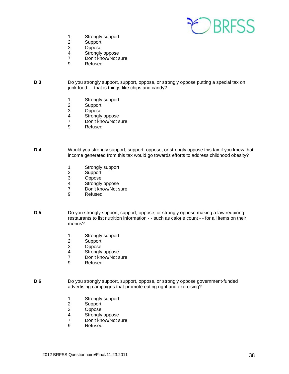

- 1 Strongly support<br>2 Support
- 2 Support<br>3 Oppose
- 3 Oppose<br>4 Stronaly
- 4 Strongly oppose<br>7 Don't know/Not s
- Don't know/Not sure
- 9 Refused
- **D.3** Do you strongly support, support, oppose, or strongly oppose putting a special tax on junk food - - that is things like chips and candy?
	- 1 Strongly support<br>2 Support
	- 2 Support<br>3 Oppose
	- 3 Oppose<br>4 Stronaly
	- Strongly oppose
	- 7 Don't know/Not sure
	- 9 Refused
- **D.4** Would you strongly support, support, oppose, or strongly oppose this tax if you knew that income generated from this tax would go towards efforts to address childhood obesity?
	- 1 Strongly support<br>2 Support
	- 2 Support<br>3 Oppose
	- Oppose
	- 4 Strongly oppose<br>7 Don't know/Not s
	- 7 Don't know/Not sure<br>9 Refused
	- **Refused**
- **D.5** Do you strongly support, support, oppose, or strongly oppose making a law requiring restaurants to list nutrition information - - such as calorie count - - for all items on their menus?
	- 1 Strongly support<br>2 Support
	- 2 Support<br>3 Oppose
	- 3 Oppose<br>4 Stronaly
	- 4 Strongly oppose<br>7 Don't know/Not s
	- 7 Don't know/Not sure
	- **Refused**
- **D.6** Do you strongly support, support, oppose, or strongly oppose government-funded advertising campaigns that promote eating right and exercising?
	- 1 Strongly support<br>2 Support
	- 2 Support<br>3 Oppose
	- 3 Oppose<br>4 Strongly
	- 4 Strongly oppose<br>7 Don't know/Not s
	- 7 Don't know/Not sure<br>9 Refused
	- **Refused**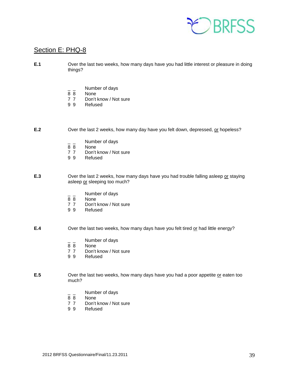

### <span id="page-38-0"></span>Section E: PHQ-8

- **E.1** Over the last two weeks, how many days have you had little interest or pleasure in doing things?
	- $\frac{1}{8}$   $\frac{1}{8}$  Number of days
	- 8 8 None<br>7 7 Don't
	- 7 7 Don't know / Not sure<br>9 9 Refused
	- **Refused**
- **E.2** Over the last 2 weeks, how many day have you felt down, depressed, or hopeless?
	- $\frac{1}{8}$   $\frac{1}{8}$  Number of days
	- **None**
	- 7 7 Don't know / Not sure<br>9 9 Refused
	- **Refused**
- **E.3** Over the last 2 weeks, how many days have you had trouble falling asleep or staying asleep or sleeping too much?
	- $\frac{1}{8}$   $\frac{1}{8}$  Number of days
	- 8 8 None<br>7 7 Don't
	- 7 7 Don't know / Not sure<br>9 9 Refused
	- **Refused**

**E.4** Over the last two weeks, how many days have you felt tired or had little energy?

- $\frac{1}{8}$   $\frac{1}{8}$  Number of days
- None
- 7 7 Don't know / Not sure<br>9 9 Refused
- **Refused**

**E.5** Over the last two weeks, how many days have you had a poor appetite or eaten too much?

- $\frac{1}{8}$   $\frac{1}{8}$  Number of days
- 8 8 None<br>7 7 Don't
- 7 7 Don't know / Not sure<br>9 9 Refused
- **Refused**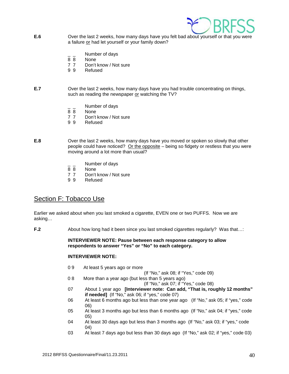

- **E.6** Over the last 2 weeks, how many days have you felt bad about yourself or that you were a failure or had let yourself or your family down?
	- $\frac{1}{8}$   $\frac{1}{8}$  Number of days
	- 8 8 None<br>7 7 Don't
	- 7 7 Don't know / Not sure<br>9 9 Refused
	- **Refused**

#### **E.7** Over the last 2 weeks, how many days have you had trouble concentrating on things, such as reading the newspaper or watching the TV?

- $\frac{1}{8}$   $\frac{1}{8}$  Number of days
- 8 8 None<br>7 7 Don't
- Don't know / Not sure
- 9 9 Refused
- **E.8** Over the last 2 weeks, how many days have you moved or spoken so slowly that other people could have noticed? Or the opposite – being so fidgety or restless that you were moving around a lot more than usual?
	- $\frac{1}{8}$   $\frac{1}{8}$  Number of days
	- None
	- 7 7 Don't know / Not sure<br>9 9 Refused
	- **Refused**

### <span id="page-39-0"></span>Section F: Tobacco Use

Earlier we asked about when you last smoked a cigarette, EVEN one or two PUFFS. Now we are asking…

**F.2** About how long had it been since you last smoked cigarettes regularly? Was that...:

#### **INTERVIEWER NOTE: Pause between each response category to allow respondents to answer "Yes" or "No" to each category.**

#### **INTERVIEWER NOTE:**

- 0 9 At least 5 years ago or more
- (If "No," ask 08; if "Yes," code 09)<br>
0.8 More than a vear ago (but less than 5 years ago)
	- More than a year ago (but less than 5 years ago)

(If "No," ask 07; if "Yes," code 08)

- 07 About 1 year ago **[Interviewer note: Can add, "That is, roughly 12 months" if needed]** (If "No," ask 06; if "yes," code 07)
- 06 At least 6 months ago but less than one year ago (If "No," ask 05; if "yes," code 06)
- 05 At least 3 months ago but less than 6 months ago (If "No," ask 04; if "yes," code 05)
- 04 At least 30 days ago but less than 3 months ago (If "No," ask 03; if "yes," code 04)
- 03 At least 7 days ago but less than 30 days ago (If "No," ask 02; if "yes," code 03)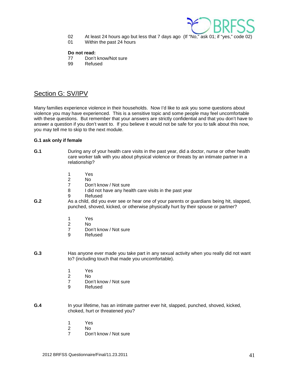

- 02 At least 24 hours ago but less that 7 days ago (If "No," ask 01; if "yes," code 02)
- 01 Within the past 24 hours

#### **Do not read:**

- 77 Don't know/Not sure
- 99 Refused

# <span id="page-40-0"></span>Section G: SV/IPV

Many families experience violence in their households. Now I'd like to ask you some questions about violence you may have experienced. This is a sensitive topic and some people may feel uncomfortable with these questions. But remember that your answers are strictly confidential and that you don't have to answer a question if you don't want to. If you believe it would not be safe for you to talk about this now, you may tell me to skip to the next module.

#### **G.1 ask only if female**

- **G.1** During any of your health care visits in the past year, did a doctor, nurse or other health care worker talk with you about physical violence or threats by an intimate partner in a relationship?
- 1 Yes
- 2 No
	- 7 Don't know / Not sure<br>8 I did not have any hea
	- I did not have any health care visits in the past year
	- 9 Refused
- **G.2** As a child, did you ever see or hear one of your parents or guardians being hit, slapped, punched, shoved, kicked, or otherwise physically hurt by their spouse or partner?
	- 1 Yes<br>2 No
- 2 No
	- 7 Don't know / Not sure
	- 9 Refused
- **G.3** Has anyone ever made you take part in any sexual activity when you really did not want to? (including touch that made you uncomfortable).
	- 1 Yes<br>2 No
- 2 No
	- 7 Don't know / Not sure<br>9 Refused
	- **Refused**
- **G.4** In your lifetime, has an intimate partner ever hit, slapped, punched, shoved, kicked, choked, hurt or threatened you?
	- 1 Yes
- 2 No
	- 7 Don't know / Not sure